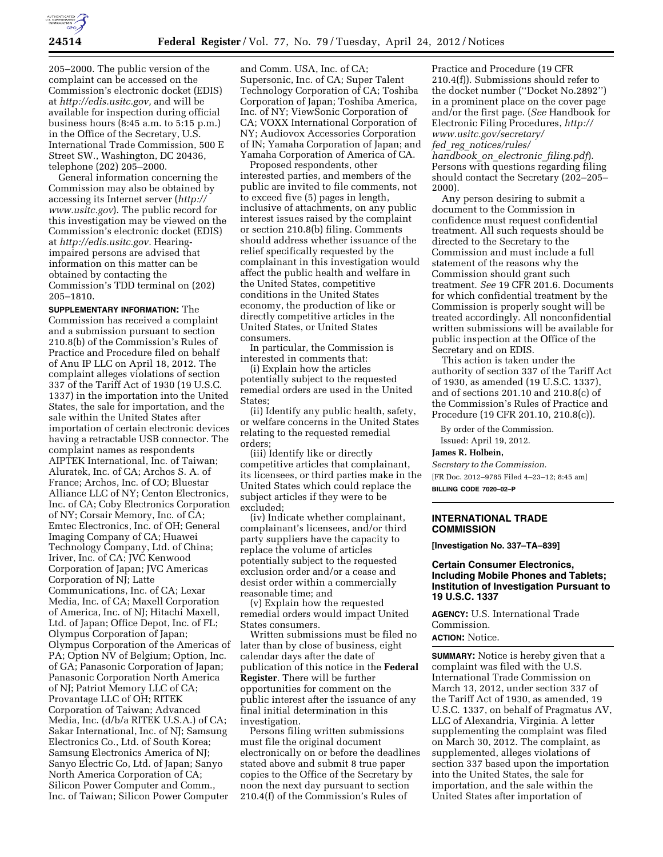

205–2000. The public version of the complaint can be accessed on the Commission's electronic docket (EDIS) at *[http://edis.usitc.gov,](http://edis.usitc.gov)* and will be available for inspection during official business hours (8:45 a.m. to 5:15 p.m.) in the Office of the Secretary, U.S. International Trade Commission, 500 E Street SW., Washington, DC 20436, telephone (202) 205–2000.

General information concerning the Commission may also be obtained by accessing its Internet server (*[http://](http://www.usitc.gov)  [www.usitc.gov](http://www.usitc.gov)*). The public record for this investigation may be viewed on the Commission's electronic docket (EDIS) at *[http://edis.usitc.gov.](http://edis.usitc.gov)* Hearingimpaired persons are advised that information on this matter can be obtained by contacting the Commission's TDD terminal on (202) 205–1810.

**SUPPLEMENTARY INFORMATION:** The Commission has received a complaint and a submission pursuant to section 210.8(b) of the Commission's Rules of Practice and Procedure filed on behalf of Anu IP LLC on April 18, 2012. The complaint alleges violations of section 337 of the Tariff Act of 1930 (19 U.S.C. 1337) in the importation into the United States, the sale for importation, and the sale within the United States after importation of certain electronic devices having a retractable USB connector. The complaint names as respondents AIPTEK International, Inc. of Taiwan; Aluratek, Inc. of CA; Archos S. A. of France; Archos, Inc. of CO; Bluestar Alliance LLC of NY; Centon Electronics, Inc. of CA; Coby Electronics Corporation of NY; Corsair Memory, Inc. of CA; Emtec Electronics, Inc. of OH; General Imaging Company of CA; Huawei Technology Company, Ltd. of China; Iriver, Inc. of CA; JVC Kenwood Corporation of Japan; JVC Americas Corporation of NJ; Latte Communications, Inc. of CA; Lexar Media, Inc. of CA; Maxell Corporation of America, Inc. of NJ; Hitachi Maxell, Ltd. of Japan; Office Depot, Inc. of FL; Olympus Corporation of Japan; Olympus Corporation of the Americas of PA; Option NV of Belgium; Option, Inc. of GA; Panasonic Corporation of Japan; Panasonic Corporation North America of NJ; Patriot Memory LLC of CA; Provantage LLC of OH; RITEK Corporation of Taiwan; Advanced Media, Inc. (d/b/a RITEK U.S.A.) of CA; Sakar International, Inc. of NJ; Samsung Electronics Co., Ltd. of South Korea; Samsung Electronics America of NJ; Sanyo Electric Co, Ltd. of Japan; Sanyo North America Corporation of CA; Silicon Power Computer and Comm., Inc. of Taiwan; Silicon Power Computer

and Comm. USA, Inc. of CA; Supersonic, Inc. of CA; Super Talent Technology Corporation of CA; Toshiba Corporation of Japan; Toshiba America, Inc. of NY; ViewSonic Corporation of CA; VOXX International Corporation of NY; Audiovox Accessories Corporation of IN; Yamaha Corporation of Japan; and Yamaha Corporation of America of CA.

Proposed respondents, other interested parties, and members of the public are invited to file comments, not to exceed five (5) pages in length, inclusive of attachments, on any public interest issues raised by the complaint or section 210.8(b) filing. Comments should address whether issuance of the relief specifically requested by the complainant in this investigation would affect the public health and welfare in the United States, competitive conditions in the United States economy, the production of like or directly competitive articles in the United States, or United States consumers.

In particular, the Commission is interested in comments that:

(i) Explain how the articles potentially subject to the requested remedial orders are used in the United States;

(ii) Identify any public health, safety, or welfare concerns in the United States relating to the requested remedial orders;

(iii) Identify like or directly competitive articles that complainant, its licensees, or third parties make in the United States which could replace the subject articles if they were to be excluded;

(iv) Indicate whether complainant, complainant's licensees, and/or third party suppliers have the capacity to replace the volume of articles potentially subject to the requested exclusion order and/or a cease and desist order within a commercially reasonable time; and

(v) Explain how the requested remedial orders would impact United States consumers.

Written submissions must be filed no later than by close of business, eight calendar days after the date of publication of this notice in the **Federal Register**. There will be further opportunities for comment on the public interest after the issuance of any final initial determination in this investigation.

Persons filing written submissions must file the original document electronically on or before the deadlines stated above and submit 8 true paper copies to the Office of the Secretary by noon the next day pursuant to section 210.4(f) of the Commission's Rules of

Practice and Procedure (19 CFR 210.4(f)). Submissions should refer to the docket number (''Docket No.2892'') in a prominent place on the cover page and/or the first page. (*See* Handbook for Electronic Filing Procedures, *[http://](http://www.usitc.gov/secretary/fed_reg_notices/rules/handbook_on_electronic_filing.pdf)  [www.usitc.gov/secretary/](http://www.usitc.gov/secretary/fed_reg_notices/rules/handbook_on_electronic_filing.pdf)  fed*\_*reg*\_*[notices/rules/](http://www.usitc.gov/secretary/fed_reg_notices/rules/handbook_on_electronic_filing.pdf)* 

*[handbook](http://www.usitc.gov/secretary/fed_reg_notices/rules/handbook_on_electronic_filing.pdf)*\_*on*\_*electronic*\_*filing.pdf*). Persons with questions regarding filing should contact the Secretary (202–205– 2000).

Any person desiring to submit a document to the Commission in confidence must request confidential treatment. All such requests should be directed to the Secretary to the Commission and must include a full statement of the reasons why the Commission should grant such treatment. *See* 19 CFR 201.6. Documents for which confidential treatment by the Commission is properly sought will be treated accordingly. All nonconfidential written submissions will be available for public inspection at the Office of the Secretary and on EDIS.

This action is taken under the authority of section 337 of the Tariff Act of 1930, as amended (19 U.S.C. 1337), and of sections 201.10 and 210.8(c) of the Commission's Rules of Practice and Procedure (19 CFR 201.10, 210.8(c)).

By order of the Commission. Issued: April 19, 2012.

**James R. Holbein,** 

*Secretary to the Commission.*  [FR Doc. 2012–9785 Filed 4–23–12; 8:45 am]

**BILLING CODE 7020–02–P** 

## **INTERNATIONAL TRADE COMMISSION**

**[Investigation No. 337–TA–839]** 

## **Certain Consumer Electronics, Including Mobile Phones and Tablets; Institution of Investigation Pursuant to 19 U.S.C. 1337**

**AGENCY:** U.S. International Trade Commission. **ACTION:** Notice.

**SUMMARY:** Notice is hereby given that a complaint was filed with the U.S. International Trade Commission on March 13, 2012, under section 337 of the Tariff Act of 1930, as amended, 19 U.S.C. 1337, on behalf of Pragmatus AV, LLC of Alexandria, Virginia. A letter supplementing the complaint was filed on March 30, 2012. The complaint, as supplemented, alleges violations of section 337 based upon the importation into the United States, the sale for importation, and the sale within the United States after importation of